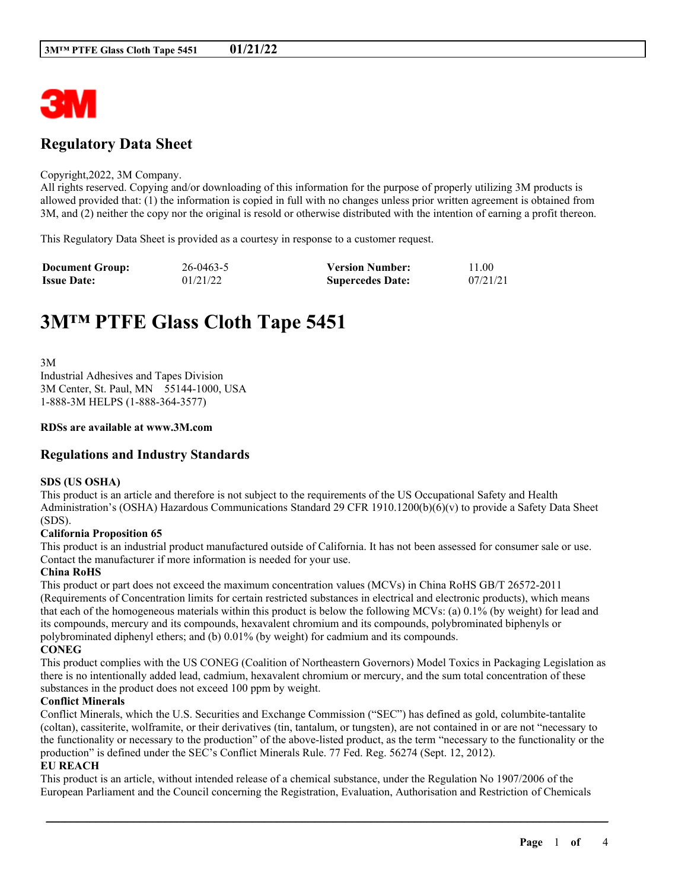

# **Regulatory Data Sheet**

#### Copyright,2022, 3M Company.

All rights reserved. Copying and/or downloading of this information for the purpose of properly utilizing 3M products is allowed provided that: (1) the information is copied in full with no changes unless prior written agreement is obtained from 3M, and (2) neither the copy nor the original is resold or otherwise distributed with the intention of earning a profit thereon.

This Regulatory Data Sheet is provided as a courtesy in response to a customer request.

| <b>Document Group:</b> | $26 - 0463 - 5$ | <b>Version Number:</b>  | 11.00    |
|------------------------|-----------------|-------------------------|----------|
| <b>Issue Date:</b>     | 01/21/22        | <b>Supercedes Date:</b> | 07/21/21 |

# **3M™ PTFE Glass Cloth Tape 5451**

3M Industrial Adhesives and Tapes Division 3M Center, St. Paul, MN 55144-1000, USA 1-888-3M HELPS (1-888-364-3577)

#### **RDSs are available at www.3M.com**

# **Regulations and Industry Standards**

#### **SDS (US OSHA)**

This product is an article and therefore is not subject to the requirements of the US Occupational Safety and Health Administration's (OSHA) Hazardous Communications Standard 29 CFR 1910.1200(b)(6)(v) to provide a Safety Data Sheet (SDS).

#### **California Proposition 65**

This product is an industrial product manufactured outside of California. It has not been assessed for consumer sale or use. Contact the manufacturer if more information is needed for your use.

#### **China RoHS**

This product or part does not exceed the maximum concentration values (MCVs) in China RoHS GB/T 26572-2011 (Requirements of Concentration limits for certain restricted substances in electrical and electronic products), which means that each of the homogeneous materials within this product is below the following MCVs: (a) 0.1% (by weight) for lead and its compounds, mercury and its compounds, hexavalent chromium and its compounds, polybrominated biphenyls or polybrominated diphenyl ethers; and (b) 0.01% (by weight) for cadmium and its compounds. **CONEG**

This product complies with the US CONEG (Coalition of Northeastern Governors) Model Toxics in Packaging Legislation as there is no intentionally added lead, cadmium, hexavalent chromium or mercury, and the sum total concentration of these substances in the product does not exceed 100 ppm by weight.

#### **Conflict Minerals**

Conflict Minerals, which the U.S. Securities and Exchange Commission ("SEC") has defined as gold, columbite-tantalite (coltan), cassiterite, wolframite, or their derivatives (tin, tantalum, or tungsten), are not contained in or are not "necessary to the functionality or necessary to the production" of the above-listed product, as the term "necessary to the functionality or the production" is defined under the SEC's Conflict Minerals Rule. 77 Fed. Reg. 56274 (Sept. 12, 2012).

#### **EU REACH**

This product is an article, without intended release of a chemical substance, under the Regulation No 1907/2006 of the European Parliament and the Council concerning the Registration, Evaluation, Authorisation and Restriction of Chemicals

\_\_\_\_\_\_\_\_\_\_\_\_\_\_\_\_\_\_\_\_\_\_\_\_\_\_\_\_\_\_\_\_\_\_\_\_\_\_\_\_\_\_\_\_\_\_\_\_\_\_\_\_\_\_\_\_\_\_\_\_\_\_\_\_\_\_\_\_\_\_\_\_\_\_\_\_\_\_\_\_\_\_\_\_\_\_\_\_\_\_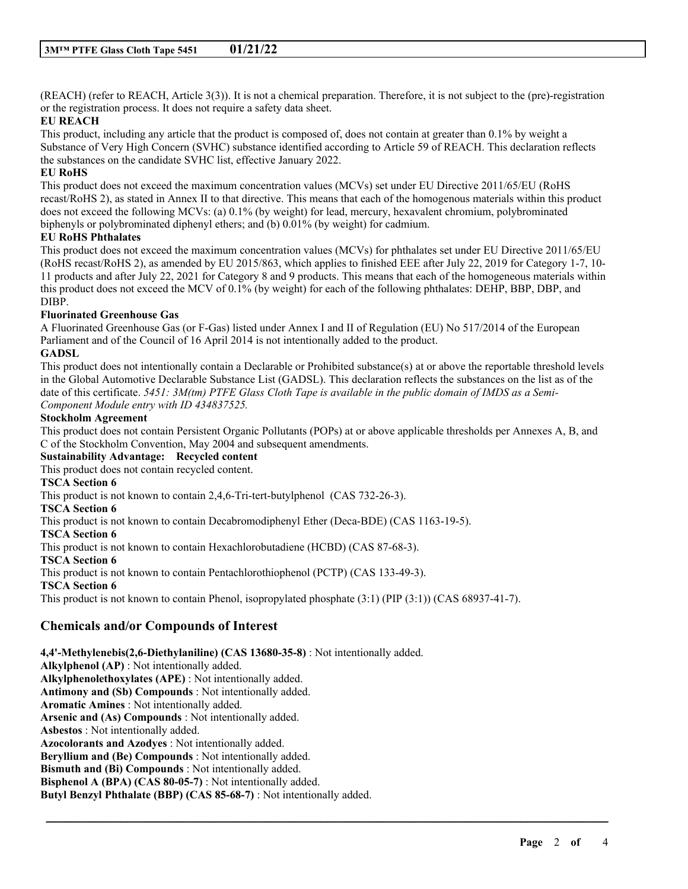(REACH) (refer to REACH, Article 3(3)). It is not a chemical preparation. Therefore, it is not subject to the (pre)-registration or the registration process. It does not require a safety data sheet.

#### **EU REACH**

This product, including any article that the product is composed of, does not contain at greater than 0.1% by weight a Substance of Very High Concern (SVHC) substance identified according to Article 59 of REACH. This declaration reflects the substances on the candidate SVHC list, effective January 2022.

#### **EU RoHS**

This product does not exceed the maximum concentration values (MCVs) set under EU Directive 2011/65/EU (RoHS recast/RoHS 2), as stated in Annex II to that directive. This means that each of the homogenous materials within this product does not exceed the following MCVs: (a) 0.1% (by weight) for lead, mercury, hexavalent chromium, polybrominated biphenyls or polybrominated diphenyl ethers; and (b) 0.01% (by weight) for cadmium.

#### **EU RoHS Phthalates**

This product does not exceed the maximum concentration values (MCVs) for phthalates set under EU Directive 2011/65/EU (RoHS recast/RoHS 2), as amended by EU 2015/863, which applies to finished EEE after July 22, 2019 for Category 1-7, 10- 11 products and after July 22, 2021 for Category 8 and 9 products. This means that each of the homogeneous materials within this product does not exceed the MCV of 0.1% (by weight) for each of the following phthalates: DEHP, BBP, DBP, and DIBP.

#### **Fluorinated Greenhouse Gas**

A Fluorinated Greenhouse Gas (or F-Gas) listed under Annex I and II of Regulation (EU) No 517/2014 of the European Parliament and of the Council of 16 April 2014 is not intentionally added to the product.

### **GADSL**

This product does not intentionally contain a Declarable or Prohibited substance(s) at or above the reportable threshold levels in the Global Automotive Declarable Substance List (GADSL). This declaration reflects the substances on the list as of the date of this certificate. 5451:  $3M$ (tm) PTFE Glass Cloth Tape is available in the public domain of IMDS as a Semi-*Component Module entry with ID 434837525.*

#### **Stockholm Agreement**

This product does not contain Persistent Organic Pollutants (POPs) at or above applicable thresholds per Annexes A, B, and C of the Stockholm Convention, May 2004 and subsequent amendments.

\_\_\_\_\_\_\_\_\_\_\_\_\_\_\_\_\_\_\_\_\_\_\_\_\_\_\_\_\_\_\_\_\_\_\_\_\_\_\_\_\_\_\_\_\_\_\_\_\_\_\_\_\_\_\_\_\_\_\_\_\_\_\_\_\_\_\_\_\_\_\_\_\_\_\_\_\_\_\_\_\_\_\_\_\_\_\_\_\_\_

#### **Sustainability Advantage: Recycled content**

This product does not contain recycled content.

#### **TSCA Section 6**

This product is not known to contain 2,4,6-Tri-tert-butylphenol (CAS 732-26-3).

**TSCA Section 6**

This product is not known to contain Decabromodiphenyl Ether (Deca-BDE) (CAS 1163-19-5).

**TSCA Section 6**

This product is not known to contain Hexachlorobutadiene (HCBD) (CAS 87-68-3).

**TSCA Section 6**

This product is not known to contain Pentachlorothiophenol (PCTP) (CAS 133-49-3).

# **TSCA Section 6**

This product is not known to contain Phenol, isopropylated phosphate (3:1) (PIP (3:1)) (CAS 68937-41-7).

# **Chemicals and/or Compounds of Interest**

**4,4'-Methylenebis(2,6-Diethylaniline) (CAS 13680-35-8)** : Not intentionally added.

**Alkylphenol (AP)** : Not intentionally added. **Alkylphenolethoxylates (APE)** : Not intentionally added. **Antimony and (Sb) Compounds** : Not intentionally added. **Aromatic Amines** : Not intentionally added. **Arsenic and (As) Compounds** : Not intentionally added. **Asbestos** : Not intentionally added. **Azocolorants and Azodyes** : Not intentionally added. **Beryllium and (Be) Compounds** : Not intentionally added. **Bismuth and (Bi) Compounds** : Not intentionally added. **Bisphenol A (BPA) (CAS 80-05-7)** : Not intentionally added. **Butyl Benzyl Phthalate (BBP) (CAS 85-68-7)** : Not intentionally added.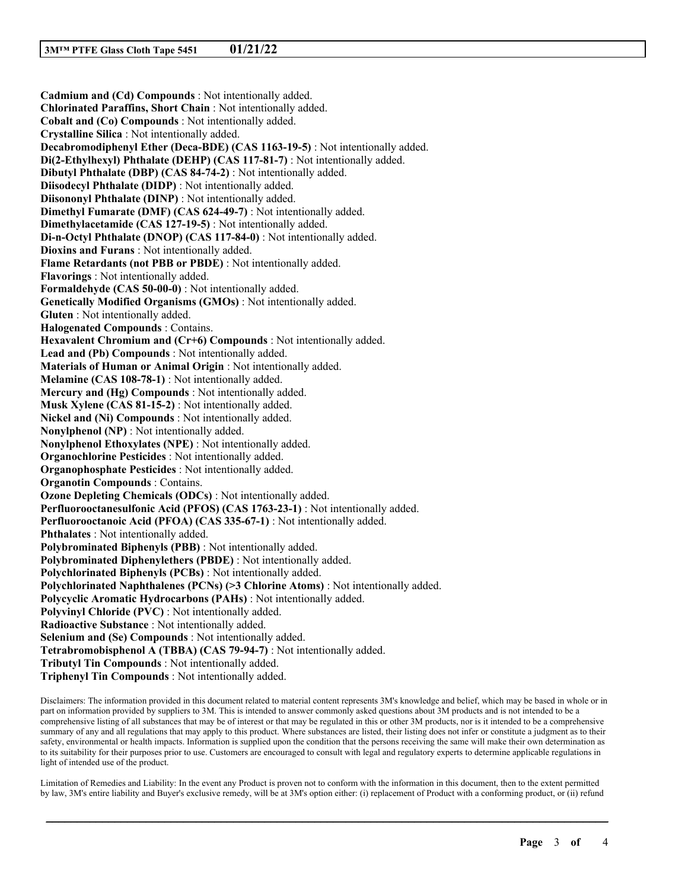**Cadmium and (Cd) Compounds** : Not intentionally added. **Chlorinated Paraffins, Short Chain** : Not intentionally added. **Cobalt and (Co) Compounds** : Not intentionally added. **Crystalline Silica** : Not intentionally added. **Decabromodiphenyl Ether (Deca-BDE) (CAS 1163-19-5)** : Not intentionally added. **Di(2-Ethylhexyl) Phthalate (DEHP) (CAS 117-81-7)** : Not intentionally added. **Dibutyl Phthalate (DBP) (CAS 84-74-2)** : Not intentionally added. **Diisodecyl Phthalate (DIDP)** : Not intentionally added. **Diisononyl Phthalate (DINP)** : Not intentionally added. **Dimethyl Fumarate (DMF) (CAS 624-49-7)** : Not intentionally added. **Dimethylacetamide (CAS 127-19-5)** : Not intentionally added. **Di-n-Octyl Phthalate (DNOP) (CAS 117-84-0)** : Not intentionally added. **Dioxins and Furans** : Not intentionally added. **Flame Retardants (not PBB or PBDE)** : Not intentionally added. **Flavorings** : Not intentionally added. **Formaldehyde (CAS 50-00-0)** : Not intentionally added. **Genetically Modified Organisms (GMOs)** : Not intentionally added. **Gluten** : Not intentionally added. **Halogenated Compounds** : Contains. **Hexavalent Chromium and (Cr+6) Compounds** : Not intentionally added. **Lead and (Pb) Compounds** : Not intentionally added. **Materials of Human or Animal Origin** : Not intentionally added. **Melamine (CAS 108-78-1)** : Not intentionally added. **Mercury and (Hg) Compounds** : Not intentionally added. **Musk Xylene (CAS 81-15-2)** : Not intentionally added. **Nickel and (Ni) Compounds** : Not intentionally added. **Nonylphenol (NP)** : Not intentionally added. **Nonylphenol Ethoxylates (NPE)** : Not intentionally added. **Organochlorine Pesticides** : Not intentionally added. **Organophosphate Pesticides** : Not intentionally added. **Organotin Compounds** : Contains. **Ozone Depleting Chemicals (ODCs)** : Not intentionally added. **Perfluorooctanesulfonic Acid (PFOS) (CAS 1763-23-1)** : Not intentionally added. **Perfluorooctanoic Acid (PFOA) (CAS 335-67-1)** : Not intentionally added. **Phthalates** : Not intentionally added. **Polybrominated Biphenyls (PBB)** : Not intentionally added. **Polybrominated Diphenylethers (PBDE)** : Not intentionally added. **Polychlorinated Biphenyls (PCBs)** : Not intentionally added. **Polychlorinated Naphthalenes (PCNs) (>3 Chlorine Atoms)** : Not intentionally added. **Polycyclic Aromatic Hydrocarbons (PAHs)** : Not intentionally added. **Polyvinyl Chloride (PVC)** : Not intentionally added. **Radioactive Substance** : Not intentionally added. **Selenium and (Se) Compounds** : Not intentionally added. **Tetrabromobisphenol A (TBBA) (CAS 79-94-7)** : Not intentionally added. **Tributyl Tin Compounds** : Not intentionally added. **Triphenyl Tin Compounds** : Not intentionally added.

Disclaimers: The information provided in this document related to material content represents 3M's knowledge and belief, which may be based in whole or in part on information provided by suppliers to 3M. This is intended to answer commonly asked questions about 3M products and is not intended to be a comprehensive listing of all substances that may be of interest or that may be regulated in this or other 3M products, nor is it intended to be a comprehensive summary of any and all regulations that may apply to this product. Where substances are listed, their listing does not infer or constitute a judgment as to their safety, environmental or health impacts. Information is supplied upon the condition that the persons receiving the same will make their own determination as to its suitability for their purposes prior to use. Customers are encouraged to consult with legal and regulatory experts to determine applicable regulations in light of intended use of the product.

Limitation of Remedies and Liability: In the event any Product is proven not to conform with the information in this document, then to the extent permitted by law, 3M's entire liability and Buyer's exclusive remedy, will be at 3M's option either: (i) replacement of Product with a conforming product, or (ii) refund

\_\_\_\_\_\_\_\_\_\_\_\_\_\_\_\_\_\_\_\_\_\_\_\_\_\_\_\_\_\_\_\_\_\_\_\_\_\_\_\_\_\_\_\_\_\_\_\_\_\_\_\_\_\_\_\_\_\_\_\_\_\_\_\_\_\_\_\_\_\_\_\_\_\_\_\_\_\_\_\_\_\_\_\_\_\_\_\_\_\_